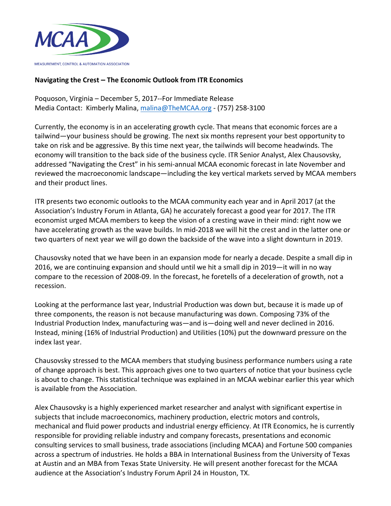

## **Navigating the Crest – The Economic Outlook from ITR Economics**

Poquoson, Virginia - December 5, 2017--For Immediate Release Media Contact: Kimberly Malina, malina@TheMCAA.org - (757) 258-3100

Currently, the economy is in an accelerating growth cycle. That means that economic forces are a tailwind—your business should be growing. The next six months represent your best opportunity to take on risk and be aggressive. By this time next year, the tailwinds will become headwinds. The economy will transition to the back side of the business cycle. ITR Senior Analyst, Alex Chausovsky, addressed "Navigating the Crest" in his semi-annual MCAA economic forecast in late November and reviewed the macroeconomic landscape—including the key vertical markets served by MCAA members and their product lines.

ITR presents two economic outlooks to the MCAA community each year and in April 2017 (at the Association's Industry Forum in Atlanta, GA) he accurately forecast a good year for 2017. The ITR economist urged MCAA members to keep the vision of a cresting wave in their mind: right now we have accelerating growth as the wave builds. In mid-2018 we will hit the crest and in the latter one or two quarters of next year we will go down the backside of the wave into a slight downturn in 2019.

Chausovsky noted that we have been in an expansion mode for nearly a decade. Despite a small dip in 2016, we are continuing expansion and should until we hit a small dip in 2019—it will in no way compare to the recession of 2008-09. In the forecast, he foretells of a deceleration of growth, not a recession.

Looking at the performance last year, Industrial Production was down but, because it is made up of three components, the reason is not because manufacturing was down. Composing 73% of the Industrial Production Index, manufacturing was—and is—doing well and never declined in 2016. Instead, mining (16% of Industrial Production) and Utilities (10%) put the downward pressure on the index last year.

Chausovsky stressed to the MCAA members that studying business performance numbers using a rate of change approach is best. This approach gives one to two quarters of notice that your business cycle is about to change. This statistical technique was explained in an MCAA webinar earlier this year which is available from the Association.

Alex Chausovsky is a highly experienced market researcher and analyst with significant expertise in subjects that include macroeconomics, machinery production, electric motors and controls, mechanical and fluid power products and industrial energy efficiency. At ITR Economics, he is currently responsible for providing reliable industry and company forecasts, presentations and economic consulting services to small business, trade associations (including MCAA) and Fortune 500 companies across a spectrum of industries. He holds a BBA in International Business from the University of Texas at Austin and an MBA from Texas State University. He will present another forecast for the MCAA audience at the Association's Industry Forum April 24 in Houston, TX.